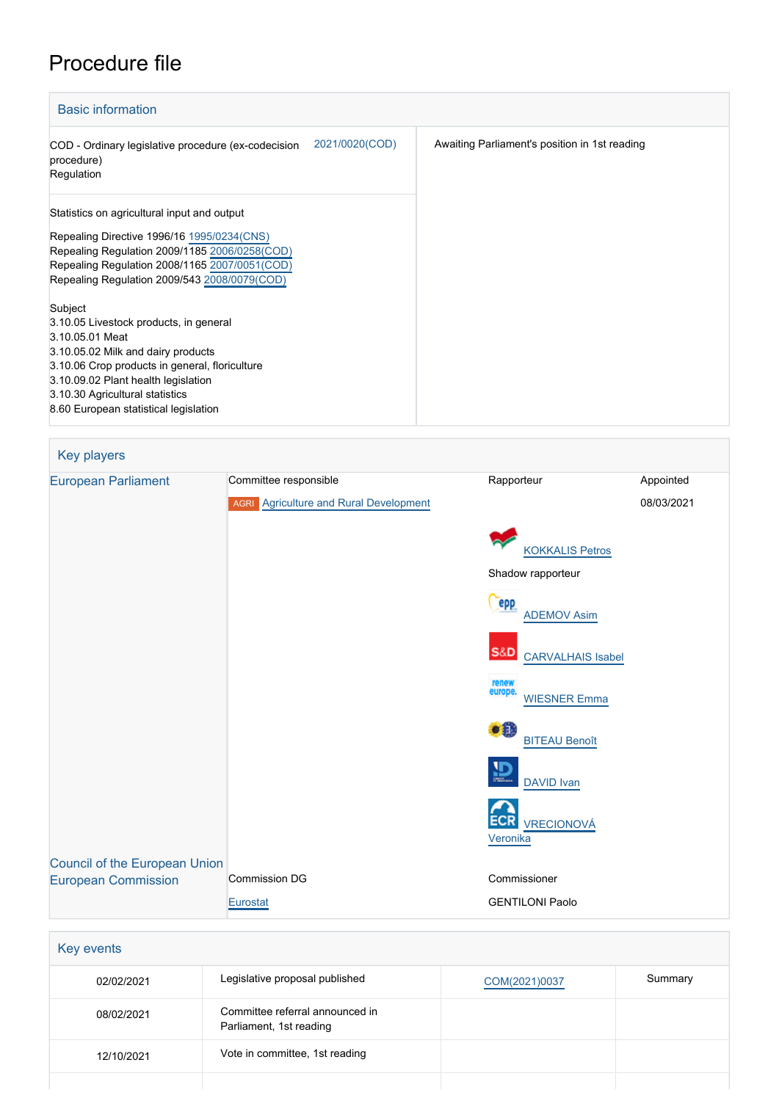# Procedure file

| <b>Basic information</b>                                                                                                                                                                                                                                                        |                                               |
|---------------------------------------------------------------------------------------------------------------------------------------------------------------------------------------------------------------------------------------------------------------------------------|-----------------------------------------------|
| 2021/0020(COD)<br>COD - Ordinary legislative procedure (ex-codecision<br>procedure)<br>Regulation                                                                                                                                                                               | Awaiting Parliament's position in 1st reading |
| Statistics on agricultural input and output<br>Repealing Directive 1996/16 1995/0234(CNS)<br>Repealing Regulation 2009/1185 2006/0258(COD)<br>Repealing Regulation 2008/1165 2007/0051(COD)<br>Repealing Regulation 2009/543 2008/0079(COD)                                     |                                               |
| Subject<br>3.10.05 Livestock products, in general<br>3.10.05.01 Meat<br>3.10.05.02 Milk and dairy products<br>3.10.06 Crop products in general, floriculture<br>3.10.09.02 Plant health legislation<br>3.10.30 Agricultural statistics<br>8.60 European statistical legislation |                                               |

| Key players                          |                                               |                                            |            |
|--------------------------------------|-----------------------------------------------|--------------------------------------------|------------|
| <b>European Parliament</b>           | Committee responsible                         | Rapporteur                                 | Appointed  |
|                                      | <b>AGRI</b> Agriculture and Rural Development |                                            | 08/03/2021 |
|                                      |                                               | <b>KOKKALIS Petros</b>                     |            |
|                                      |                                               | Shadow rapporteur                          |            |
|                                      |                                               | epp<br><b>ADEMOV Asim</b>                  |            |
|                                      |                                               | <b>S&amp;D</b><br><b>CARVALHAIS Isabel</b> |            |
|                                      |                                               | renew<br>europe.<br><b>WIESNER Emma</b>    |            |
|                                      |                                               | $\bullet$<br><b>BITEAU Benoît</b>          |            |
|                                      |                                               | $\mathbf{D}$<br>DAVID Ivan                 |            |
|                                      |                                               | <b>ECR</b><br>VRECIONOVÁ<br>Veronika       |            |
| <b>Council of the European Union</b> |                                               |                                            |            |
| <b>European Commission</b>           | Commission DG                                 | Commissioner                               |            |
|                                      | Eurostat                                      | <b>GENTILONI Paolo</b>                     |            |

| <b>Key events</b> |                                                            |               |         |
|-------------------|------------------------------------------------------------|---------------|---------|
| 02/02/2021        | Legislative proposal published                             | COM(2021)0037 | Summary |
| 08/02/2021        | Committee referral announced in<br>Parliament, 1st reading |               |         |
| 12/10/2021        | Vote in committee, 1st reading                             |               |         |
|                   |                                                            |               |         |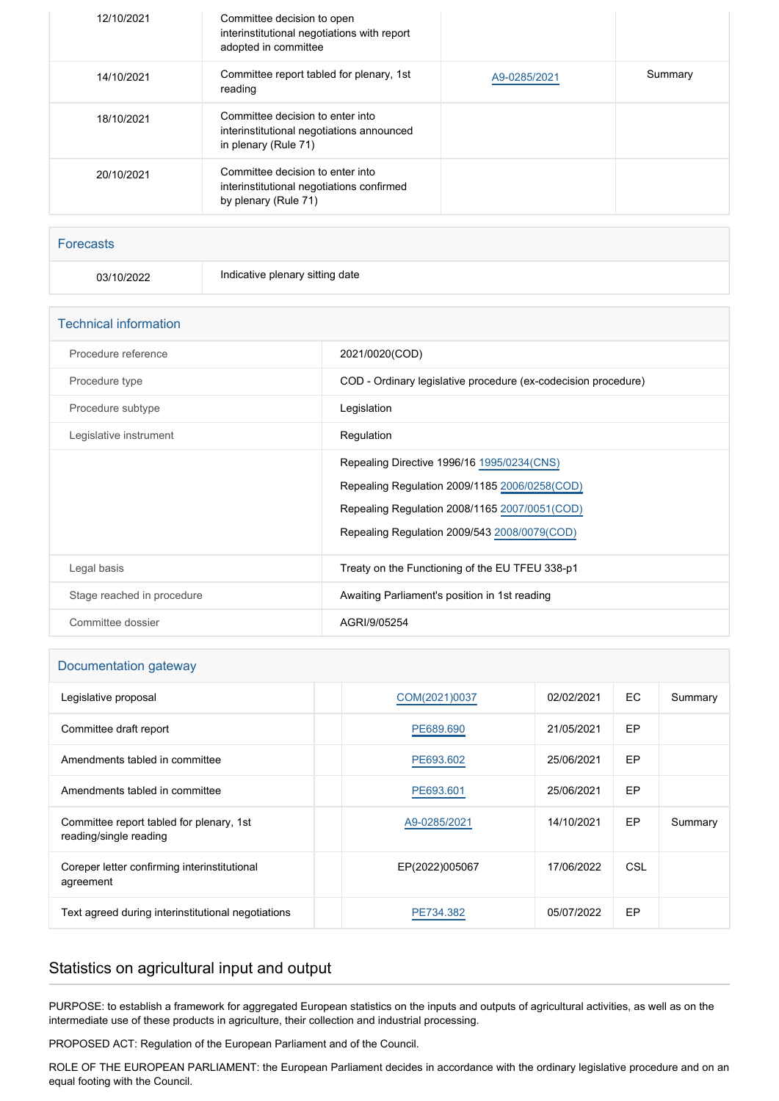| 12/10/2021 | Committee decision to open<br>interinstitutional negotiations with report<br>adopted in committee     |              |         |
|------------|-------------------------------------------------------------------------------------------------------|--------------|---------|
| 14/10/2021 | Committee report tabled for plenary, 1st<br>reading                                                   | A9-0285/2021 | Summary |
| 18/10/2021 | Committee decision to enter into<br>interinstitutional negotiations announced<br>in plenary (Rule 71) |              |         |
| 20/10/2021 | Committee decision to enter into<br>interinstitutional negotiations confirmed<br>by plenary (Rule 71) |              |         |

# Forecasts

03/10/2022 Indicative plenary sitting date

| <b>Technical information</b> |                                                                                                                                                                                               |
|------------------------------|-----------------------------------------------------------------------------------------------------------------------------------------------------------------------------------------------|
| Procedure reference          | 2021/0020(COD)                                                                                                                                                                                |
| Procedure type               | COD - Ordinary legislative procedure (ex-codecision procedure)                                                                                                                                |
| Procedure subtype            | Legislation                                                                                                                                                                                   |
| Legislative instrument       | Regulation                                                                                                                                                                                    |
|                              | Repealing Directive 1996/16 1995/0234 (CNS)<br>Repealing Regulation 2009/1185 2006/0258(COD)<br>Repealing Regulation 2008/1165 2007/0051(COD)<br>Repealing Regulation 2009/543 2008/0079(COD) |
| Legal basis                  | Treaty on the Functioning of the EU TFEU 338-p1                                                                                                                                               |
| Stage reached in procedure   | Awaiting Parliament's position in 1st reading                                                                                                                                                 |
| Committee dossier            | AGRI/9/05254                                                                                                                                                                                  |

# Documentation gateway

| Legislative proposal                                               | COM(2021)0037  | 02/02/2021 | EC.       | Summary |
|--------------------------------------------------------------------|----------------|------------|-----------|---------|
| Committee draft report                                             | PE689.690      | 21/05/2021 | EP        |         |
| Amendments tabled in committee                                     | PE693.602      | 25/06/2021 | EP        |         |
| Amendments tabled in committee                                     | PE693.601      | 25/06/2021 | EP        |         |
| Committee report tabled for plenary, 1st<br>reading/single reading | A9-0285/2021   | 14/10/2021 | <b>EP</b> | Summary |
| Coreper letter confirming interinstitutional<br>agreement          | EP(2022)005067 | 17/06/2022 | CSL       |         |
| Text agreed during interinstitutional negotiations                 | PE734.382      | 05/07/2022 | EP        |         |

# Statistics on agricultural input and output

PURPOSE: to establish a framework for aggregated European statistics on the inputs and outputs of agricultural activities, as well as on the intermediate use of these products in agriculture, their collection and industrial processing.

PROPOSED ACT: Regulation of the European Parliament and of the Council.

ROLE OF THE EUROPEAN PARLIAMENT: the European Parliament decides in accordance with the ordinary legislative procedure and on an equal footing with the Council.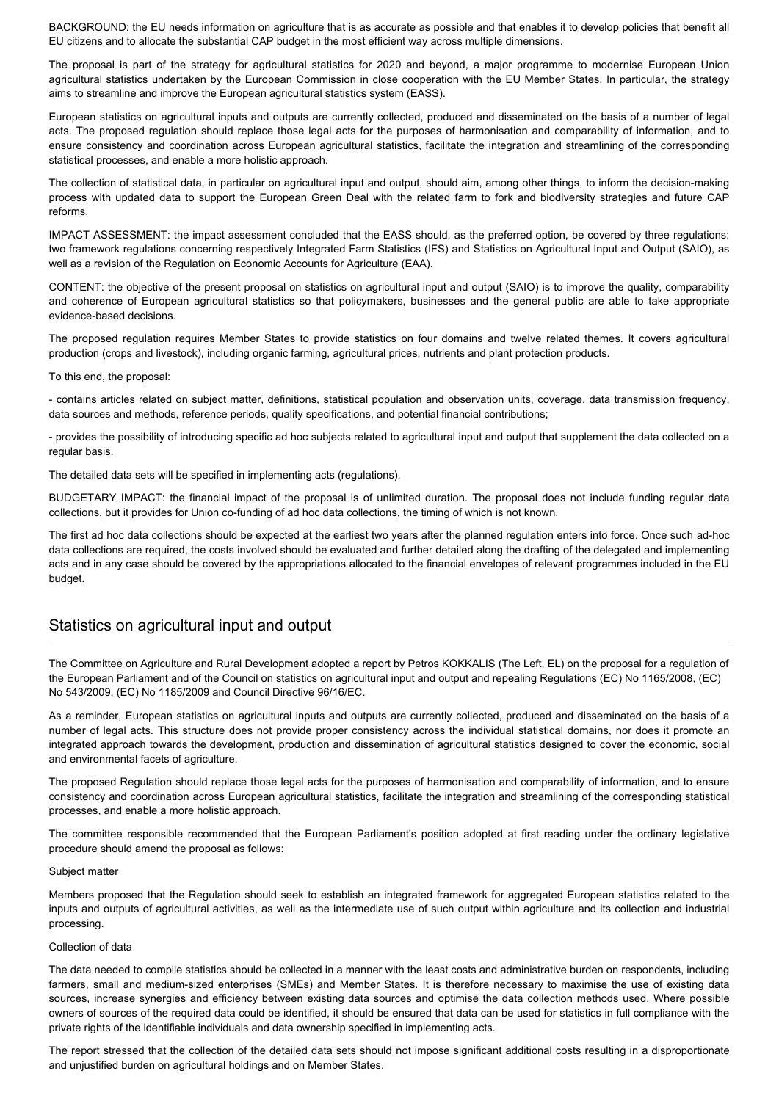BACKGROUND: the EU needs information on agriculture that is as accurate as possible and that enables it to develop policies that benefit all EU citizens and to allocate the substantial CAP budget in the most efficient way across multiple dimensions.

The proposal is part of the strategy for agricultural statistics for 2020 and beyond, a major programme to modernise European Union agricultural statistics undertaken by the European Commission in close cooperation with the EU Member States. In particular, the strategy aims to streamline and improve the European agricultural statistics system (EASS).

European statistics on agricultural inputs and outputs are currently collected, produced and disseminated on the basis of a number of legal acts. The proposed regulation should replace those legal acts for the purposes of harmonisation and comparability of information, and to ensure consistency and coordination across European agricultural statistics, facilitate the integration and streamlining of the corresponding statistical processes, and enable a more holistic approach.

The collection of statistical data, in particular on agricultural input and output, should aim, among other things, to inform the decision-making process with updated data to support the European Green Deal with the related farm to fork and biodiversity strategies and future CAP reforms.

IMPACT ASSESSMENT: the impact assessment concluded that the EASS should, as the preferred option, be covered by three regulations: two framework regulations concerning respectively Integrated Farm Statistics (IFS) and Statistics on Agricultural Input and Output (SAIO), as well as a revision of the Regulation on Economic Accounts for Agriculture (EAA).

CONTENT: the objective of the present proposal on statistics on agricultural input and output (SAIO) is to improve the quality, comparability and coherence of European agricultural statistics so that policymakers, businesses and the general public are able to take appropriate evidence-based decisions.

The proposed regulation requires Member States to provide statistics on four domains and twelve related themes. It covers agricultural production (crops and livestock), including organic farming, agricultural prices, nutrients and plant protection products.

To this end, the proposal:

- contains articles related on subject matter, definitions, statistical population and observation units, coverage, data transmission frequency, data sources and methods, reference periods, quality specifications, and potential financial contributions;

- provides the possibility of introducing specific ad hoc subjects related to agricultural input and output that supplement the data collected on a regular basis.

The detailed data sets will be specified in implementing acts (regulations).

BUDGETARY IMPACT: the financial impact of the proposal is of unlimited duration. The proposal does not include funding regular data collections, but it provides for Union co-funding of ad hoc data collections, the timing of which is not known.

The first ad hoc data collections should be expected at the earliest two years after the planned regulation enters into force. Once such ad-hoc data collections are required, the costs involved should be evaluated and further detailed along the drafting of the delegated and implementing acts and in any case should be covered by the appropriations allocated to the financial envelopes of relevant programmes included in the EU budget.

# Statistics on agricultural input and output

The Committee on Agriculture and Rural Development adopted a report by Petros KOKKALIS (The Left, EL) on the proposal for a regulation of the European Parliament and of the Council on statistics on agricultural input and output and repealing Regulations (EC) No 1165/2008, (EC) No 543/2009, (EC) No 1185/2009 and Council Directive 96/16/EC.

As a reminder, European statistics on agricultural inputs and outputs are currently collected, produced and disseminated on the basis of a number of legal acts. This structure does not provide proper consistency across the individual statistical domains, nor does it promote an integrated approach towards the development, production and dissemination of agricultural statistics designed to cover the economic, social and environmental facets of agriculture.

The proposed Regulation should replace those legal acts for the purposes of harmonisation and comparability of information, and to ensure consistency and coordination across European agricultural statistics, facilitate the integration and streamlining of the corresponding statistical processes, and enable a more holistic approach.

The committee responsible recommended that the European Parliament's position adopted at first reading under the ordinary legislative procedure should amend the proposal as follows:

#### Subject matter

Members proposed that the Regulation should seek to establish an integrated framework for aggregated European statistics related to the inputs and outputs of agricultural activities, as well as the intermediate use of such output within agriculture and its collection and industrial processing.

#### Collection of data

The data needed to compile statistics should be collected in a manner with the least costs and administrative burden on respondents, including farmers, small and medium-sized enterprises (SMEs) and Member States. It is therefore necessary to maximise the use of existing data sources, increase synergies and efficiency between existing data sources and optimise the data collection methods used. Where possible owners of sources of the required data could be identified, it should be ensured that data can be used for statistics in full compliance with the private rights of the identifiable individuals and data ownership specified in implementing acts.

The report stressed that the collection of the detailed data sets should not impose significant additional costs resulting in a disproportionate and unjustified burden on agricultural holdings and on Member States.